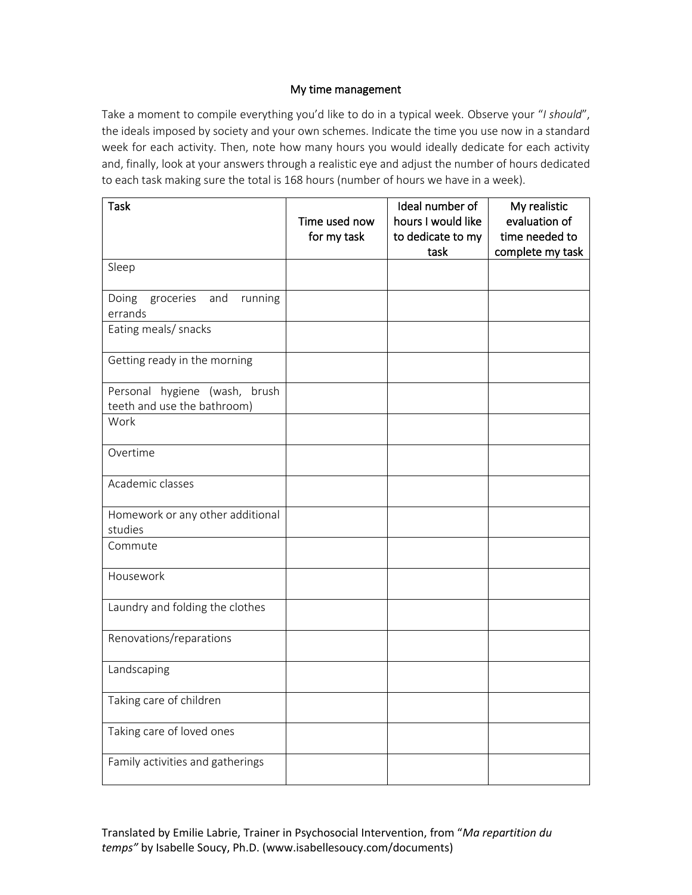## My time management

Take a moment to compile everything you'd like to do in a typical week. Observe your "*I should*", the ideals imposed by society and your own schemes. Indicate the time you use now in a standard week for each activity. Then, note how many hours you would ideally dedicate for each activity and, finally, look at your answers through a realistic eye and adjust the number of hours dedicated to each task making sure the total is 168 hours (number of hours we have in a week).

| <b>Task</b>                                                     | Time used now<br>for my task | Ideal number of<br>hours I would like<br>to dedicate to my<br>task | My realistic<br>evaluation of<br>time needed to<br>complete my task |
|-----------------------------------------------------------------|------------------------------|--------------------------------------------------------------------|---------------------------------------------------------------------|
| Sleep                                                           |                              |                                                                    |                                                                     |
| groceries<br>and<br>running<br>Doing<br>errands                 |                              |                                                                    |                                                                     |
| Eating meals/ snacks                                            |                              |                                                                    |                                                                     |
| Getting ready in the morning                                    |                              |                                                                    |                                                                     |
| brush<br>Personal hygiene (wash,<br>teeth and use the bathroom) |                              |                                                                    |                                                                     |
| Work                                                            |                              |                                                                    |                                                                     |
| Overtime                                                        |                              |                                                                    |                                                                     |
| Academic classes                                                |                              |                                                                    |                                                                     |
| Homework or any other additional<br>studies                     |                              |                                                                    |                                                                     |
| Commute                                                         |                              |                                                                    |                                                                     |
| Housework                                                       |                              |                                                                    |                                                                     |
| Laundry and folding the clothes                                 |                              |                                                                    |                                                                     |
| Renovations/reparations                                         |                              |                                                                    |                                                                     |
| Landscaping                                                     |                              |                                                                    |                                                                     |
| Taking care of children                                         |                              |                                                                    |                                                                     |
| Taking care of loved ones                                       |                              |                                                                    |                                                                     |
| Family activities and gatherings                                |                              |                                                                    |                                                                     |

Translated by Emilie Labrie, Trainer in Psychosocial Intervention, from "*Ma repartition du temps"* by Isabelle Soucy, Ph.D. (www.isabellesoucy.com/documents)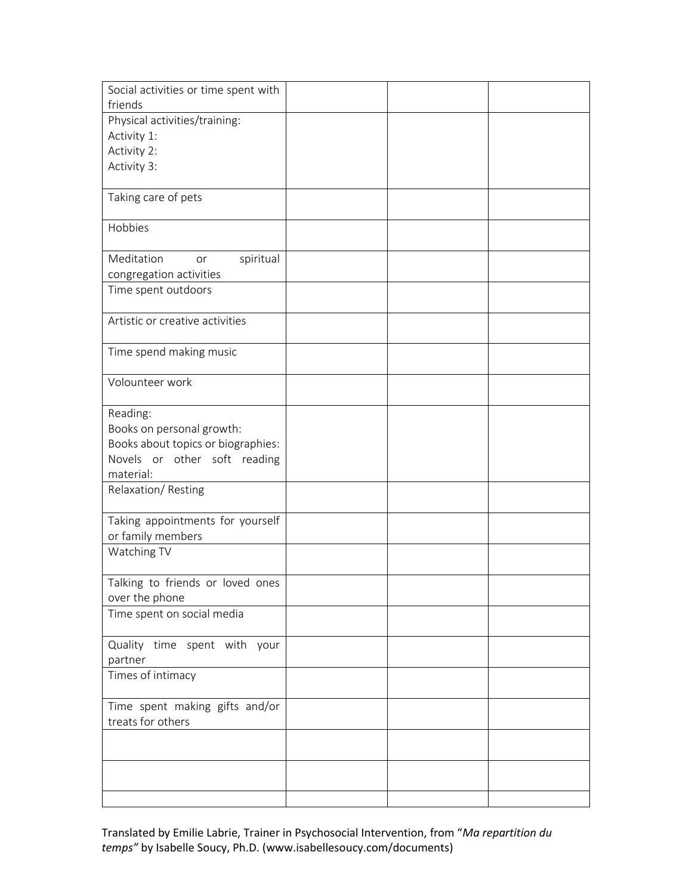| Social activities or time spent with |  |  |
|--------------------------------------|--|--|
| friends                              |  |  |
| Physical activities/training:        |  |  |
| Activity 1:                          |  |  |
| Activity 2:                          |  |  |
| Activity 3:                          |  |  |
|                                      |  |  |
| Taking care of pets                  |  |  |
| Hobbies                              |  |  |
|                                      |  |  |
| Meditation<br>spiritual<br>or        |  |  |
| congregation activities              |  |  |
| Time spent outdoors                  |  |  |
|                                      |  |  |
| Artistic or creative activities      |  |  |
|                                      |  |  |
| Time spend making music              |  |  |
|                                      |  |  |
| Volounteer work                      |  |  |
|                                      |  |  |
| Reading:                             |  |  |
| Books on personal growth:            |  |  |
| Books about topics or biographies:   |  |  |
| Novels or other soft reading         |  |  |
| material:                            |  |  |
| Relaxation/Resting                   |  |  |
| Taking appointments for yourself     |  |  |
| or family members                    |  |  |
| Watching TV                          |  |  |
|                                      |  |  |
| Talking to friends or loved ones     |  |  |
| over the phone                       |  |  |
| Time spent on social media           |  |  |
| Quality time spent with your         |  |  |
| partner                              |  |  |
| Times of intimacy                    |  |  |
|                                      |  |  |
| Time spent making gifts and/or       |  |  |
| treats for others                    |  |  |
|                                      |  |  |
|                                      |  |  |
|                                      |  |  |
|                                      |  |  |
|                                      |  |  |

Translated by Emilie Labrie, Trainer in Psychosocial Intervention, from "*Ma repartition du temps"* by Isabelle Soucy, Ph.D. (www.isabellesoucy.com/documents)